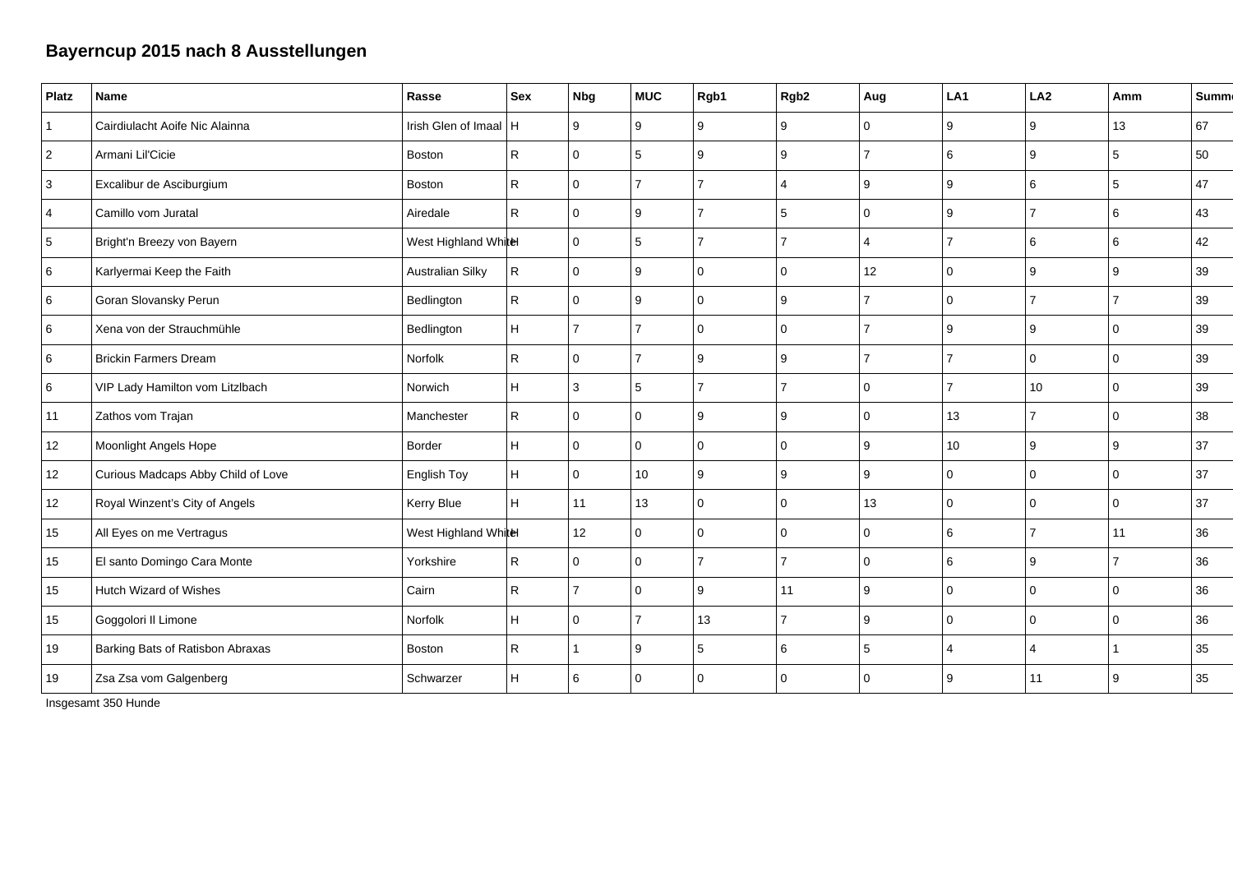## **Bayerncup 2015 nach 8 Ausstellungen**

| Platz          | Name                               | Rasse                   | <b>Sex</b>   | <b>Nbg</b>     | <b>MUC</b>     | Rgb1           | Rgb <sub>2</sub> | Aug            | LA1                      | LA2              | Amm         | <b>Summ</b> |
|----------------|------------------------------------|-------------------------|--------------|----------------|----------------|----------------|------------------|----------------|--------------------------|------------------|-------------|-------------|
| $\vert$ 1      | Cairdiulacht Aoife Nic Alainna     | Irish Glen of Imaal   H |              | 9              | 9              | 9              | 9                | $\Omega$       | 9                        | 9                | 13          | 67          |
| $\overline{2}$ | Armani Lil'Cicie                   | Boston                  | $\mathsf{R}$ | $\Omega$       | 5              | 9              | 9                | 7              | 6                        | 9                | 5           | 50          |
| 3              | Excalibur de Asciburgium           | <b>Boston</b>           | $\mathsf{R}$ | $\mathbf 0$    | $\overline{7}$ | 7              | 4                | 9              | 9                        | 6                | $\,$ 5 $\,$ | 47          |
| $\overline{4}$ | Camillo vom Juratal                | Airedale                | ${\sf R}$    | $\mathbf{0}$   | 9              | $\overline{7}$ | 5                | $\mathbf 0$    | 9                        | $\overline{7}$   | 6           | 43          |
| 5              | Bright'n Breezy von Bayern         | West Highland Whitel    |              | $\overline{0}$ | 5              | 7              |                  | 4              | $\overline{7}$           | 6                | 6           | 42          |
| 6              | Karlyermai Keep the Faith          | <b>Australian Silky</b> | $\mathsf{R}$ | $\overline{0}$ | 9              | $\Omega$       | $\Omega$         | 12             | 0                        | 9                | 9           | 39          |
| 6              | Goran Slovansky Perun              | Bedlington              | $\mathsf{R}$ | $\overline{0}$ | 9              | $\Omega$       | 9                | $\overline{7}$ | 0                        | $\overline{7}$   | 7           | 39          |
| 6              | Xena von der Strauchmühle          | Bedlington              | H            | $\overline{7}$ | $\overline{7}$ | $\Omega$       | $\mathbf 0$      | $\overline{7}$ | 9                        | 9                | $\Omega$    | 39          |
| 6              | <b>Brickin Farmers Dream</b>       | Norfolk                 | $\mathsf{R}$ | $\mathbf{0}$   | $\overline{7}$ | 9              | 9                | $\overline{7}$ | $\overline{7}$           | $\Omega$         | $\mathbf 0$ | 39          |
| 6              | VIP Lady Hamilton vom Litzlbach    | Norwich                 | H.           | 3              | 5              |                |                  | $\Omega$       | $\overline{\phantom{a}}$ | 10 <sup>10</sup> | $\Omega$    | 39          |
| 11             | Zathos vom Trajan                  | Manchester              | $\mathsf{R}$ | $\Omega$       | $\Omega$       | 9              | 9                | $\mathbf 0$    | 13                       | $\overline{7}$   | $\Omega$    | 38          |
| 12             | Moonlight Angels Hope              | Border                  | H            | $\mathbf{0}$   | $\Omega$       | $\Omega$       | $\mathbf 0$      | 9              | 10 <sup>1</sup>          | 9                | 9           | 37          |
| 12             | Curious Madcaps Abby Child of Love | English Toy             | H            | $\overline{0}$ | 10             | 9              | 9                | 9              | 0                        | $\Omega$         | $\mathbf 0$ | 37          |
| 12             | Royal Winzent's City of Angels     | Kerry Blue              | H            | 11             | 13             | $\Omega$       | $\Omega$         | 13             | 0                        | $\Omega$         | $\Omega$    | 37          |
| 15             | All Eyes on me Vertragus           | West Highland Whitel    |              | 12             | $\Omega$       | $\Omega$       | $\mathbf 0$      | $\Omega$       | 6                        | 7                | 11          | 36          |
| 15             | El santo Domingo Cara Monte        | Yorkshire               | $\mathsf{R}$ | $\Omega$       | $\Omega$       | $\overline{7}$ | 7                | $\Omega$       | 6                        | 9                |             | 36          |
| 15             | Hutch Wizard of Wishes             | Cairn                   | $\mathsf{R}$ | 7              | $\Omega$       | 9              | 11               | 9              | 0                        | $\Omega$         | $\mathbf 0$ | 36          |
| 15             | Goggolori II Limone                | Norfolk                 | H            | $\mathbf{0}$   | $\overline{7}$ | 13             | 7                | 9              | $\mathbf 0$              | 0                | $\mathbf 0$ | 36          |
| 19             | Barking Bats of Ratisbon Abraxas   | Boston                  | $\mathsf{R}$ |                | 9              | 5              | 6                | 5              | 4                        | 4                |             | 35          |
| 19             | Zsa Zsa vom Galgenberg             | Schwarzer               | H            | 6              | $\mathbf 0$    | $\Omega$       | 0                | $\Omega$       | 9                        | 11               | 9           | 35          |

Insgesamt 350 Hunde